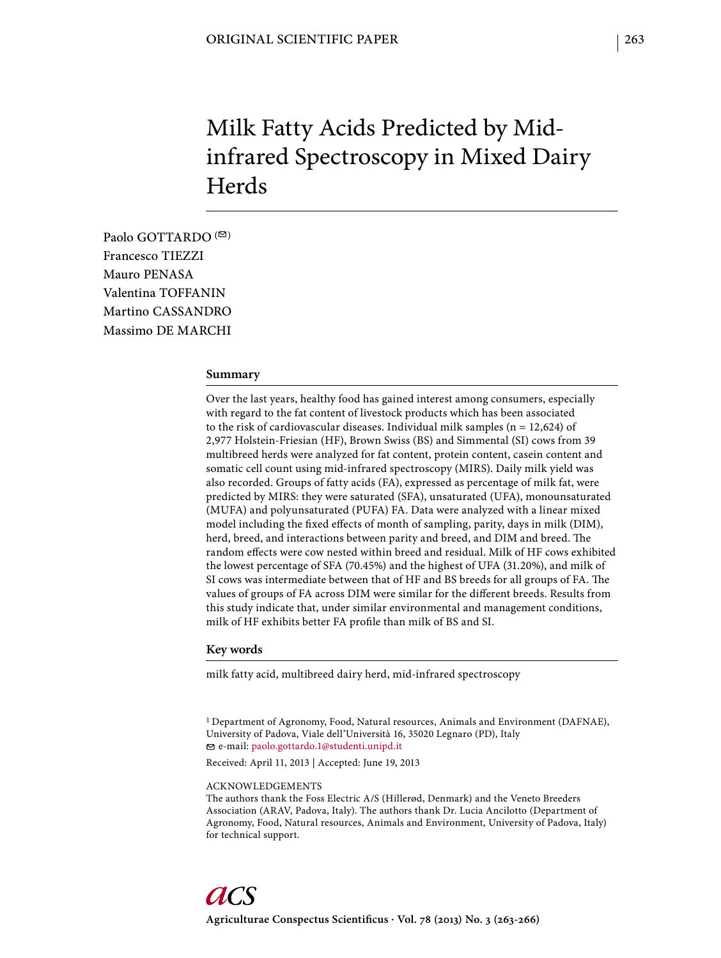# Milk Fatty Acids Predicted by Midinfrared Spectroscopy in Mixed Dairy **Herds**

Paolo GOTTARDO  $($ <sup> $\odot$ </sup>) Francesco TIEZZI Mauro PENASA Valentina TOFFANIN Martino CASSANDRO Massimo DE MARCHI

#### **Summary**

Over the last years, healthy food has gained interest among consumers, especially with regard to the fat content of livestock products which has been associated to the risk of cardiovascular diseases. Individual milk samples ( $n = 12,624$ ) of 2,977 Holstein-Friesian (HF), Brown Swiss (BS) and Simmental (SI) cows from 39 multibreed herds were analyzed for fat content, protein content, casein content and somatic cell count using mid-infrared spectroscopy (MIRS). Daily milk yield was also recorded. Groups of fatty acids (FA), expressed as percentage of milk fat, were predicted by MIRS: they were saturated (SFA), unsaturated (UFA), monounsaturated (MUFA) and polyunsaturated (PUFA) FA. Data were analyzed with a linear mixed model including the fixed effects of month of sampling, parity, days in milk (DIM), herd, breed, and interactions between parity and breed, and DIM and breed. The random effects were cow nested within breed and residual. Milk of HF cows exhibited the lowest percentage of SFA (70.45%) and the highest of UFA (31.20%), and milk of SI cows was intermediate between that of HF and BS breeds for all groups of FA. The values of groups of FA across DIM were similar for the different breeds. Results from this study indicate that, under similar environmental and management conditions, milk of HF exhibits better FA profile than milk of BS and SI.

## **Key words**

milk fatty acid, multibreed dairy herd, mid-infrared spectroscopy

1 Department of Agronomy, Food, Natural resources, Animals and Environment (DAFNAE), University of Padova, Viale dell'Università 16, 35020 Legnaro (PD), Italy e-mail: paolo.gottardo.1@studenti.unipd.it

Received: April 11, 2013 | Accepted: June 19, 2013

#### ACKNOWLEDGEMENTS

The authors thank the Foss Electric A/S (Hillerød, Denmark) and the Veneto Breeders Association (ARAV, Padova, Italy). The authors thank Dr. Lucia Ancilotto (Department of Agronomy, Food, Natural resources, Animals and Environment, University of Padova, Italy) for technical support.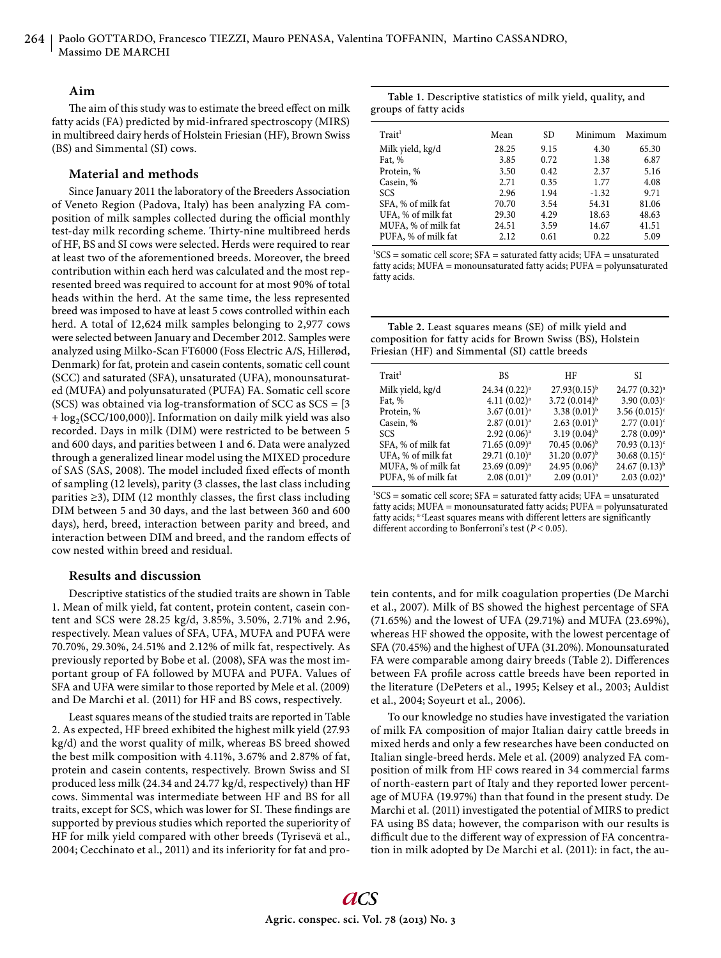## **Aim**

The aim of this study was to estimate the breed effect on milk fatty acids (FA) predicted by mid-infrared spectroscopy (MIRS) in multibreed dairy herds of Holstein Friesian (HF), Brown Swiss (BS) and Simmental (SI) cows.

## **Material and methods**

Since January 2011 the laboratory of the Breeders Association of Veneto Region (Padova, Italy) has been analyzing FA composition of milk samples collected during the official monthly test-day milk recording scheme. Thirty-nine multibreed herds of HF, BS and SI cows were selected. Herds were required to rear at least two of the aforementioned breeds. Moreover, the breed contribution within each herd was calculated and the most represented breed was required to account for at most 90% of total heads within the herd. At the same time, the less represented breed was imposed to have at least 5 cows controlled within each herd. A total of 12,624 milk samples belonging to 2,977 cows were selected between January and December 2012. Samples were analyzed using Milko-Scan FT6000 (Foss Electric A/S, Hillerød, Denmark) for fat, protein and casein contents, somatic cell count (SCC) and saturated (SFA), unsaturated (UFA), monounsaturated (MUFA) and polyunsaturated (PUFA) FA. Somatic cell score (SCS) was obtained via log-transformation of SCC as SCS = [3  $+ \log_2(SCC/100,000)$ ]. Information on daily milk yield was also recorded. Days in milk (DIM) were restricted to be between 5 and 600 days, and parities between 1 and 6. Data were analyzed through a generalized linear model using the MIXED procedure of SAS (SAS, 2008). The model included fixed effects of month of sampling (12 levels), parity (3 classes, the last class including parities  $\geq$ 3), DIM (12 monthly classes, the first class including DIM between 5 and 30 days, and the last between 360 and 600 days), herd, breed, interaction between parity and breed, and interaction between DIM and breed, and the random effects of cow nested within breed and residual.

## **Results and discussion**

Descriptive statistics of the studied traits are shown in Table 1. Mean of milk yield, fat content, protein content, casein content and SCS were 28.25 kg/d, 3.85%, 3.50%, 2.71% and 2.96, respectively. Mean values of SFA, UFA, MUFA and PUFA were 70.70%, 29.30%, 24.51% and 2.12% of milk fat, respectively. As previously reported by Bobe et al. (2008), SFA was the most important group of FA followed by MUFA and PUFA. Values of SFA and UFA were similar to those reported by Mele et al. (2009) and De Marchi et al. (2011) for HF and BS cows, respectively.

Least squares means of the studied traits are reported in Table 2. As expected, HF breed exhibited the highest milk yield (27.93 kg/d) and the worst quality of milk, whereas BS breed showed the best milk composition with 4.11%, 3.67% and 2.87% of fat, protein and casein contents, respectively. Brown Swiss and SI produced less milk (24.34 and 24.77 kg/d, respectively) than HF cows. Simmental was intermediate between HF and BS for all traits, except for SCS, which was lower for SI. These findings are supported by previous studies which reported the superiority of HF for milk yield compared with other breeds (Tyrisevä et al., 2004; Cecchinato et al., 2011) and its inferiority for fat and pro-

| Table 1. Descriptive statistics of milk yield, quality, and |  |  |  |
|-------------------------------------------------------------|--|--|--|
| groups of fatty acids                                       |  |  |  |

| $T$ rait <sup>1</sup> | Mean  | SD.  | Minimum | Maximum |
|-----------------------|-------|------|---------|---------|
| Milk yield, kg/d      | 28.25 | 9.15 | 4.30    | 65.30   |
| Fat, %                | 3.85  | 0.72 | 1.38    | 6.87    |
| Protein, %            | 3.50  | 0.42 | 2.37    | 5.16    |
| Casein, %             | 2.71  | 0.35 | 1.77    | 4.08    |
| <b>SCS</b>            | 2.96  | 1.94 | $-1.32$ | 9.71    |
| SFA, % of milk fat    | 70.70 | 3.54 | 54.31   | 81.06   |
| UFA, % of milk fat    | 29.30 | 4.29 | 18.63   | 48.63   |
| MUFA, % of milk fat   | 24.51 | 3.59 | 14.67   | 41.51   |
| PUFA, % of milk fat   | 2.12  | 0.61 | 0.22    | 5.09    |
|                       |       |      |         |         |

 ${}^{1}SCS$  = somatic cell score; SFA = saturated fatty acids; UFA = unsaturated fatty acids; MUFA = monounsaturated fatty acids; PUFA = polyunsaturated fatty acids.

| Table 2. Least squares means (SE) of milk yield and        |
|------------------------------------------------------------|
| composition for fatty acids for Brown Swiss (BS), Holstein |
| Friesian (HF) and Simmental (SI) cattle breeds             |

| $T$ rait <sup>1</sup> | <b>BS</b>               | HF                | SI                        |
|-----------------------|-------------------------|-------------------|---------------------------|
| Milk yield, kg/d      | $24.34(0.22)^a$         | $27.93(0.15)^{b}$ | 24.77 (0.32) <sup>a</sup> |
| Fat, %                | $4.11(0.02)^a$          | $3.72(0.014)^{b}$ | 3.90 $(0.03)^c$           |
| Protein, %            | $3.67(0.01)^a$          | $3.38(0.01)^{b}$  | 3.56 $(0.015)^c$          |
| Casein, %             | $2.87(0.01)^a$          | $2.63(0.01)^{b}$  | $2.77(0.01)^c$            |
| <b>SCS</b>            | $2.92(0.06)^a$          | $3.19(0.04)^{b}$  | $2.78(0.09)^a$            |
| SFA, % of milk fat    | $71.65(0.09)^a$         | $70.45(0.06)^{b}$ | $70.93(0.13)^c$           |
| UFA, % of milk fat    | $29.71(0.10)^a$         | $31.20(0.07)^{b}$ | 30.68 $(0.15)^c$          |
| MUFA, % of milk fat   | $23.69(0.09)^a$         | $24.95(0.06)^{b}$ | $24.67(0.13)^{b}$         |
| PUFA, % of milk fat   | 2.08(0.01) <sup>a</sup> | $2.09(0.01)^a$    | $2.03(0.02)^a$            |

 ${}^{1}SCS$  = somatic cell score; SFA = saturated fatty acids; UFA = unsaturated fatty acids; MUFA = monounsaturated fatty acids; PUFA = polyunsaturated fatty acids; <sup>a-c</sup>Least squares means with different letters are significantly different according to Bonferroni's test ( $P < 0.05$ ).

tein contents, and for milk coagulation properties (De Marchi et al., 2007). Milk of BS showed the highest percentage of SFA (71.65%) and the lowest of UFA (29.71%) and MUFA (23.69%), whereas HF showed the opposite, with the lowest percentage of SFA (70.45%) and the highest of UFA (31.20%). Monounsaturated FA were comparable among dairy breeds (Table 2). Differences between FA profile across cattle breeds have been reported in the literature (DePeters et al., 1995; Kelsey et al., 2003; Auldist et al., 2004; Soyeurt et al., 2006).

To our knowledge no studies have investigated the variation of milk FA composition of major Italian dairy cattle breeds in mixed herds and only a few researches have been conducted on Italian single-breed herds. Mele et al. (2009) analyzed FA composition of milk from HF cows reared in 34 commercial farms of north-eastern part of Italy and they reported lower percentage of MUFA (19.97%) than that found in the present study. De Marchi et al. (2011) investigated the potential of MIRS to predict FA using BS data; however, the comparison with our results is difficult due to the different way of expression of FA concentration in milk adopted by De Marchi et al. (2011): in fact, the au-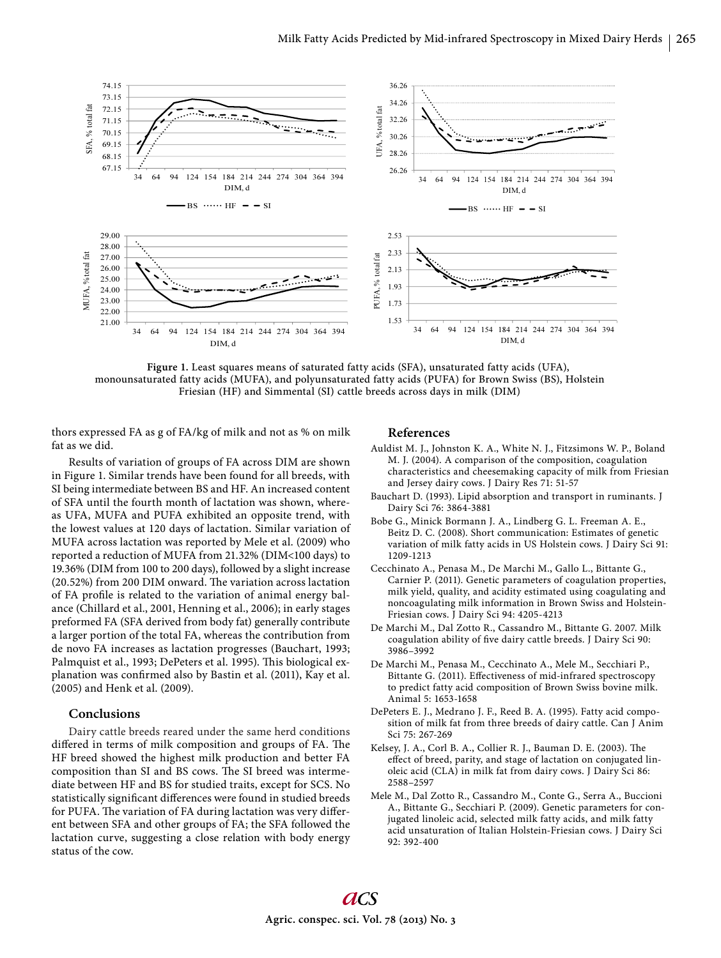

**Figure 1.** Least squares means of saturated fatty acids (SFA), unsaturated fatty acids (UFA), monounsaturated fatty acids (MUFA), and polyunsaturated fatty acids (PUFA) for Brown Swiss (BS), Holstein Friesian (HF) and Simmental (SI) cattle breeds across days in milk (DIM)

thors expressed FA as g of FA/kg of milk and not as % on milk fat as we did.

Results of variation of groups of FA across DIM are shown in Figure 1. Similar trends have been found for all breeds, with SI being intermediate between BS and HF. An increased content of SFA until the fourth month of lactation was shown, whereas UFA, MUFA and PUFA exhibited an opposite trend, with the lowest values at 120 days of lactation. Similar variation of MUFA across lactation was reported by Mele et al. (2009) who reported a reduction of MUFA from 21.32% (DIM<100 days) to 19.36% (DIM from 100 to 200 days), followed by a slight increase (20.52%) from 200 DIM onward. The variation across lactation of FA profile is related to the variation of animal energy balance (Chillard et al., 2001, Henning et al., 2006); in early stages preformed FA (SFA derived from body fat) generally contribute a larger portion of the total FA, whereas the contribution from de novo FA increases as lactation progresses (Bauchart, 1993; Palmquist et al., 1993; DePeters et al. 1995). This biological explanation was confirmed also by Bastin et al. (2011), Kay et al. (2005) and Henk et al. (2009).

## **Conclusions**

Dairy cattle breeds reared under the same herd conditions differed in terms of milk composition and groups of FA. The HF breed showed the highest milk production and better FA composition than SI and BS cows. The SI breed was intermediate between HF and BS for studied traits, except for SCS. No statistically significant differences were found in studied breeds for PUFA. The variation of FA during lactation was very different between SFA and other groups of FA; the SFA followed the lactation curve, suggesting a close relation with body energy status of the cow.

#### **References**

- Auldist M. J., Johnston K. A., White N. J., Fitzsimons W. P., Boland M. J. (2004). A comparison of the composition, coagulation characteristics and cheesemaking capacity of milk from Friesian and Jersey dairy cows. J Dairy Res 71: 51-57
- Bauchart D. (1993). Lipid absorption and transport in ruminants. J Dairy Sci 76: 3864-3881
- Bobe G., Minick Bormann J. A., Lindberg G. L. Freeman A. E., Beitz D. C. (2008). Short communication: Estimates of genetic variation of milk fatty acids in US Holstein cows. J Dairy Sci 91: 1209-1213
- Cecchinato A., Penasa M., De Marchi M., Gallo L., Bittante G., Carnier P. (2011). Genetic parameters of coagulation properties, milk yield, quality, and acidity estimated using coagulating and noncoagulating milk information in Brown Swiss and Holstein-Friesian cows. J Dairy Sci 94: 4205-4213
- De Marchi M., Dal Zotto R., Cassandro M., Bittante G. 2007. Milk coagulation ability of five dairy cattle breeds. J Dairy Sci 90: 3986–3992
- De Marchi M., Penasa M., Cecchinato A., Mele M., Secchiari P., Bittante G. (2011). Effectiveness of mid-infrared spectroscopy to predict fatty acid composition of Brown Swiss bovine milk. Animal 5: 1653-1658
- DePeters E. J., Medrano J. F., Reed B. A. (1995). Fatty acid composition of milk fat from three breeds of dairy cattle. Can J Anim Sci 75: 267-269
- Kelsey, J. A., Corl B. A., Collier R. J., Bauman D. E. (2003). The effect of breed, parity, and stage of lactation on conjugated linoleic acid (CLA) in milk fat from dairy cows. J Dairy Sci 86: 2588–2597
- Mele M., Dal Zotto R., Cassandro M., Conte G., Serra A., Buccioni A., Bittante G., Secchiari P. (2009). Genetic parameters for conjugated linoleic acid, selected milk fatty acids, and milk fatty acid unsaturation of Italian Holstein-Friesian cows. J Dairy Sci 92: 392-400